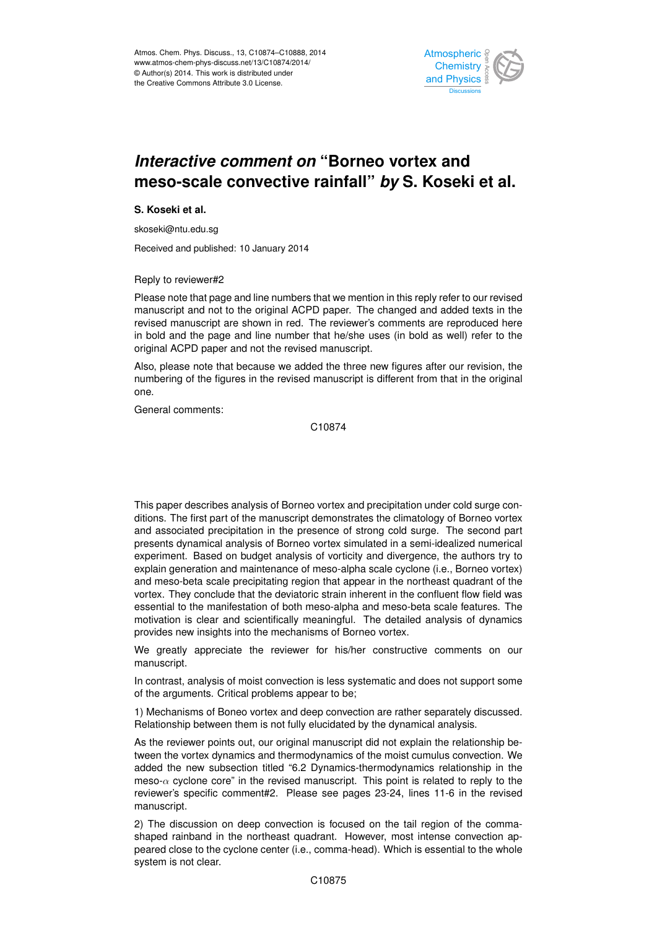

## merasing comment on Domoc reflex and<br>meso-scale convective rainfall" *by* S. Koseki et al. م<br>م .<br>و *Interactive comment on* "Borneo vortex and

**S. Koseki et al.**

skoseki@ntu.edu.sg

Received and published: 10 January 2014

Reply to reviewer#2

manuscript and not to the original ACPD paper. The changed and added texts in the revised manuscript are shown in red. The reviewer's comments are reproduced here ne numher that he/she uses (in hold as well) re an account and the page and not the revised manuscript. י<br>ה<br>ח in bold and the page and line number that he/she uses (in bold as well) refer to the<br>exisinal ACPD paper and not the ravised manuscript ርር<br>Cl Please note that page and line numbers that we mention in this reply refer to our revised

adoo no adda numbering of the figures in the revised manuscript is different from that in the original<br>one d<br>n: S<br>} Also, please note that because we added the three new figures after our revision, the one.

General comments:

Hydrology and Earth System  $\overline{1}$ C10874

and associated precipitation in the presence of strong cold surge. The second part e<br>e<br>o ec<br>O<br>U presents dynamical analysis of Borneo vortex simulated in a semi-idealized numerical and meso-beta scale precipitating region that appear in the northeast quadrant of the ו<br>ו<br>: : o<br>In<br>fi vortex. They conclude that the deviatoric strain inherent in the confluent flow field was This paper describes analysis of Borneo vortex and precipitation under cold surge conditions. The first part of the manuscript demonstrates the climatology of Borneo vortex experiment. Based on budget analysis of vorticity and divergence, the authors try to explain generation and maintenance of meso-alpha scale cyclone (i.e., Borneo vortex) essential to the manifestation of both meso-alpha and meso-beta scale features. The motivation is clear and scientifically meaningful. The detailed analysis of dynamics provides new insights into the mechanisms of Borneo vortex.

We greatly appreciate the reviewer for his/her constructive comments on our manuscript.

In contrast, analysis of moist convection is less systematic and does not support some of the arguments. Critical problems appear to be;

1) Mechanisms of Boneo vortex and deep convection are rather separately discussed. Relationship between them is not fully elucidated by the dynamical analysis.

As the reviewer points out, our original manuscript did not explain the relationship between the vortex dynamics and thermodynamics of the moist cumulus convection. We added the new subsection titled "6.2 Dynamics-thermodynamics relationship in the meso- $\alpha$  cyclone core" in the revised manuscript. This point is related to reply to the reviewer's specific comment#2. Please see pages 23-24, lines 11-6 in the revised manuscript.

2) The discussion on deep convection is focused on the tail region of the commashaped rainband in the northeast quadrant. However, most intense convection appeared close to the cyclone center (i.e., comma-head). Which is essential to the whole system is not clear.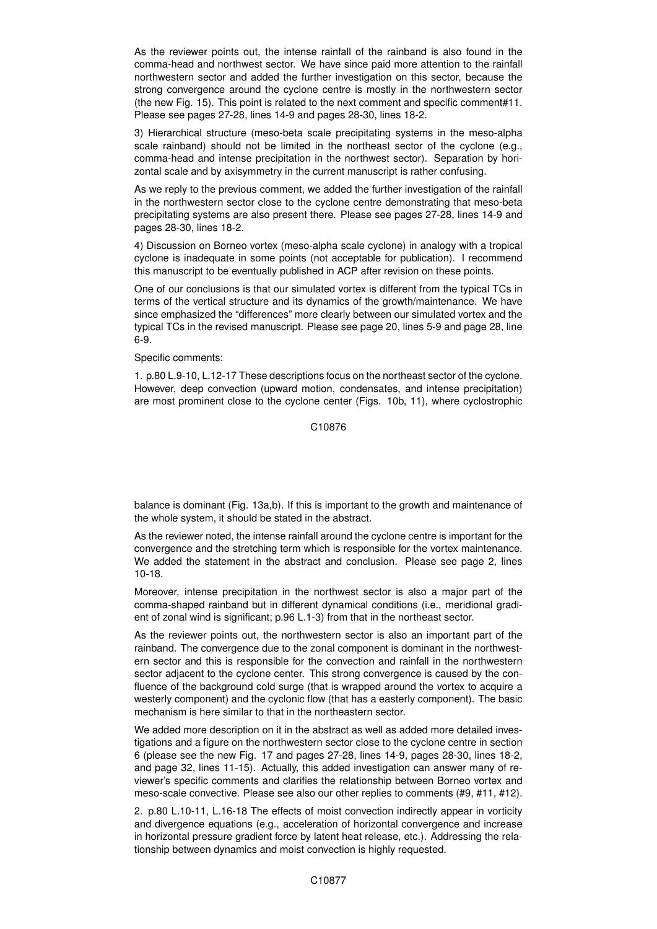As the reviewer points out, the intense rainfall of the rainband is also found in the comma-head and northwest sector. We have since paid more attention to the rainfall northwestern sector and added the further investigation on this sector, because the strong convergence around the cyclone centre is mostly in the northwestern sector (the new Fig. 15). This point is related to the next comment and specific comment#11. Please see pages 27-28, lines 14-9 and pages 28-30, lines 18-2.

3) Hierarchical structure (meso-beta scale precipitating systems in the meso-alpha scale rainband) should not be limited in the northeast sector of the cyclone (e.g., comma-head and intense precipitation in the northwest sector). Separation by horizontal scale and by axisymmetry in the current manuscript is rather confusing.

As we reply to the previous comment, we added the further investigation of the rainfall in the northwestern sector close to the cyclone centre demonstrating that meso-beta precipitating systems are also present there. Please see pages 27-28, lines 14-9 and pages 28-30, lines 18-2.

4) Discussion on Borneo vortex (meso-alpha scale cyclone) in analogy with a tropical cyclone is inadequate in some points (not acceptable for publication). I recommend this manuscript to be eventually published in ACP after revision on these points.

One of our conclusions is that our simulated vortex is different from the typical TCs in terms of the vertical structure and its dynamics of the growth/maintenance. We have since emphasized the "differences" more clearly between our simulated vortex and the typical TCs in the revised manuscript. Please see page 20, lines 5-9 and page 28, line 6-9.

Specific comments:

1. p.80 L.9-10, L.12-17 These descriptions focus on the northeast sector of the cyclone. However, deep convection (upward motion, condensates, and intense precipitation) are most prominent close to the cyclone center (Figs. 10b, 11), where cyclostrophic

C10876

balance is dominant (Fig. 13a,b). If this is important to the growth and maintenance of the whole system, it should be stated in the abstract.

As the reviewer noted, the intense rainfall around the cyclone centre is important for the convergence and the stretching term which is responsible for the vortex maintenance. We added the statement in the abstract and conclusion. Please see page 2, lines 10-18.

Moreover, intense precipitation in the northwest sector is also a major part of the comma-shaped rainband but in different dynamical conditions (i.e., meridional gradient of zonal wind is significant; p.96 L.1-3) from that in the northeast sector.

As the reviewer points out, the northwestern sector is also an important part of the rainband. The convergence due to the zonal component is dominant in the northwestern sector and this is responsible for the convection and rainfall in the northwestern sector adjacent to the cyclone center. This strong convergence is caused by the confluence of the background cold surge (that is wrapped around the vortex to acquire a westerly component) and the cyclonic flow (that has a easterly component). The basic mechanism is here similar to that in the northeastern sector.

We added more description on it in the abstract as well as added more detailed investigations and a figure on the northwestern sector close to the cyclone centre in section 6 (please see the new Fig. 17 and pages 27-28, lines 14-9, pages 28-30, lines 18-2, and page 32, lines 11-15). Actually, this added investigation can answer many of reviewer's specific comments and clarifies the relationship between Borneo vortex and meso-scale convective. Please see also our other replies to comments (#9, #11, #12).

2. p.80 L.10-11, L.16-18 The effects of moist convection indirectly appear in vorticity and divergence equations (e.g., acceleration of horizontal convergence and increase in horizontal pressure gradient force by latent heat release, etc.). Addressing the relationship between dynamics and moist convection is highly requested.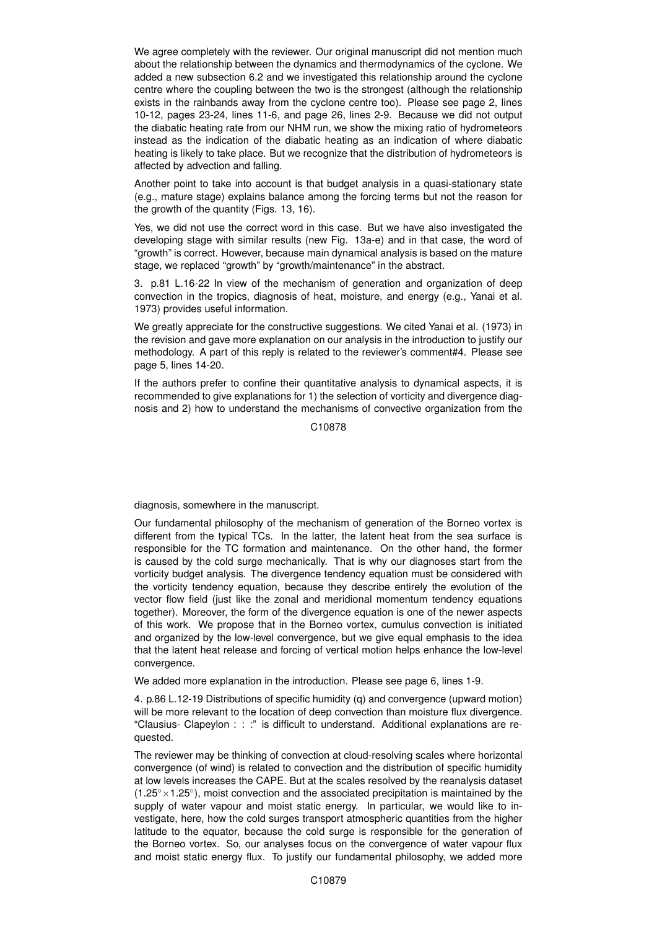We agree completely with the reviewer. Our original manuscript did not mention much about the relationship between the dynamics and thermodynamics of the cyclone. We added a new subsection 6.2 and we investigated this relationship around the cyclone centre where the coupling between the two is the strongest (although the relationship exists in the rainbands away from the cyclone centre too). Please see page 2, lines 10-12, pages 23-24, lines 11-6, and page 26, lines 2-9. Because we did not output the diabatic heating rate from our NHM run, we show the mixing ratio of hydrometeors instead as the indication of the diabatic heating as an indication of where diabatic heating is likely to take place. But we recognize that the distribution of hydrometeors is affected by advection and falling.

Another point to take into account is that budget analysis in a quasi-stationary state (e.g., mature stage) explains balance among the forcing terms but not the reason for the growth of the quantity (Figs. 13, 16).

Yes, we did not use the correct word in this case. But we have also investigated the developing stage with similar results (new Fig. 13a-e) and in that case, the word of "growth" is correct. However, because main dynamical analysis is based on the mature stage, we replaced "growth" by "growth/maintenance" in the abstract.

3. p.81 L.16-22 In view of the mechanism of generation and organization of deep convection in the tropics, diagnosis of heat, moisture, and energy (e.g., Yanai et al. 1973) provides useful information.

We greatly appreciate for the constructive suggestions. We cited Yanai et al. (1973) in the revision and gave more explanation on our analysis in the introduction to justify our methodology. A part of this reply is related to the reviewer's comment#4. Please see page 5, lines 14-20.

If the authors prefer to confine their quantitative analysis to dynamical aspects, it is recommended to give explanations for 1) the selection of vorticity and divergence diagnosis and 2) how to understand the mechanisms of convective organization from the

C10878

diagnosis, somewhere in the manuscript.

Our fundamental philosophy of the mechanism of generation of the Borneo vortex is different from the typical TCs. In the latter, the latent heat from the sea surface is responsible for the TC formation and maintenance. On the other hand, the former is caused by the cold surge mechanically. That is why our diagnoses start from the vorticity budget analysis. The divergence tendency equation must be considered with the vorticity tendency equation, because they describe entirely the evolution of the vector flow field (just like the zonal and meridional momentum tendency equations together). Moreover, the form of the divergence equation is one of the newer aspects of this work. We propose that in the Borneo vortex, cumulus convection is initiated and organized by the low-level convergence, but we give equal emphasis to the idea that the latent heat release and forcing of vertical motion helps enhance the low-level convergence.

We added more explanation in the introduction. Please see page 6, lines 1-9.

4. p.86 L.12-19 Distributions of specific humidity (q) and convergence (upward motion) will be more relevant to the location of deep convection than moisture flux divergence. "Clausius- Clapeylon : : :" is difficult to understand. Additional explanations are requested.

The reviewer may be thinking of convection at cloud-resolving scales where horizontal convergence (of wind) is related to convection and the distribution of specific humidity at low levels increases the CAPE. But at the scales resolved by the reanalysis dataset  $(1.25° \times 1.25°)$ , moist convection and the associated precipitation is maintained by the supply of water vapour and moist static energy. In particular, we would like to investigate, here, how the cold surges transport atmospheric quantities from the higher latitude to the equator, because the cold surge is responsible for the generation of the Borneo vortex. So, our analyses focus on the convergence of water vapour flux and moist static energy flux. To justify our fundamental philosophy, we added more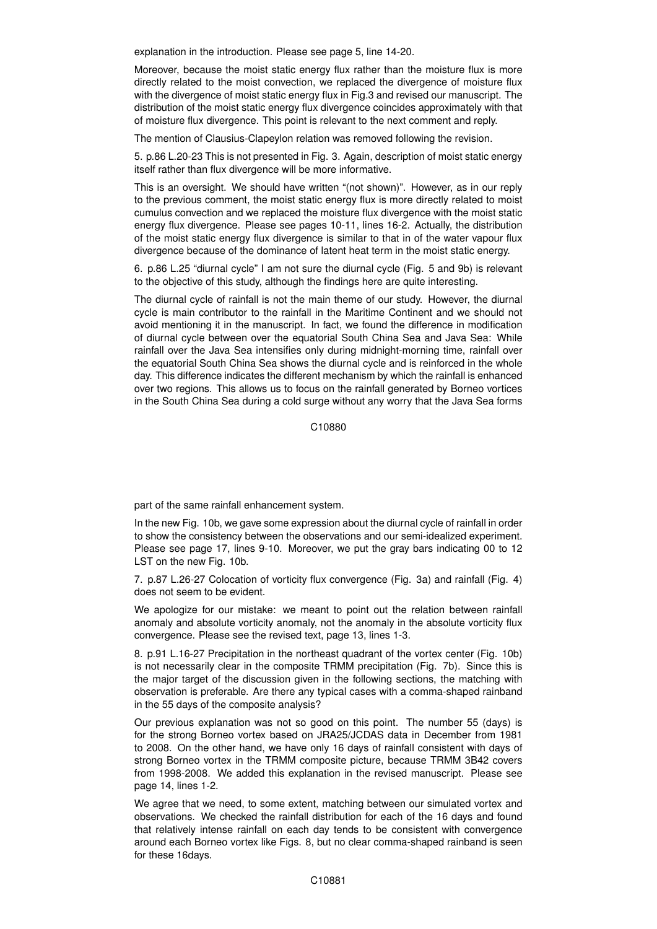explanation in the introduction. Please see page 5, line 14-20.

Moreover, because the moist static energy flux rather than the moisture flux is more directly related to the moist convection, we replaced the divergence of moisture flux with the divergence of moist static energy flux in Fig.3 and revised our manuscript. The distribution of the moist static energy flux divergence coincides approximately with that of moisture flux divergence. This point is relevant to the next comment and reply.

The mention of Clausius-Clapeylon relation was removed following the revision.

5. p.86 L.20-23 This is not presented in Fig. 3. Again, description of moist static energy itself rather than flux divergence will be more informative.

This is an oversight. We should have written "(not shown)". However, as in our reply to the previous comment, the moist static energy flux is more directly related to moist cumulus convection and we replaced the moisture flux divergence with the moist static energy flux divergence. Please see pages 10-11, lines 16-2. Actually, the distribution of the moist static energy flux divergence is similar to that in of the water vapour flux divergence because of the dominance of latent heat term in the moist static energy.

6. p.86 L.25 "diurnal cycle" I am not sure the diurnal cycle (Fig. 5 and 9b) is relevant to the objective of this study, although the findings here are quite interesting.

The diurnal cycle of rainfall is not the main theme of our study. However, the diurnal cycle is main contributor to the rainfall in the Maritime Continent and we should not avoid mentioning it in the manuscript. In fact, we found the difference in modification of diurnal cycle between over the equatorial South China Sea and Java Sea: While rainfall over the Java Sea intensifies only during midnight-morning time, rainfall over the equatorial South China Sea shows the diurnal cycle and is reinforced in the whole day. This difference indicates the different mechanism by which the rainfall is enhanced over two regions. This allows us to focus on the rainfall generated by Borneo vortices in the South China Sea during a cold surge without any worry that the Java Sea forms

C10880

part of the same rainfall enhancement system.

In the new Fig. 10b, we gave some expression about the diurnal cycle of rainfall in order to show the consistency between the observations and our semi-idealized experiment. Please see page 17, lines 9-10. Moreover, we put the gray bars indicating 00 to 12 LST on the new Fig. 10b.

7. p.87 L.26-27 Colocation of vorticity flux convergence (Fig. 3a) and rainfall (Fig. 4) does not seem to be evident.

We apologize for our mistake: we meant to point out the relation between rainfall anomaly and absolute vorticity anomaly, not the anomaly in the absolute vorticity flux convergence. Please see the revised text, page 13, lines 1-3.

8. p.91 L.16-27 Precipitation in the northeast quadrant of the vortex center (Fig. 10b) is not necessarily clear in the composite TRMM precipitation (Fig. 7b). Since this is the major target of the discussion given in the following sections, the matching with observation is preferable. Are there any typical cases with a comma-shaped rainband in the 55 days of the composite analysis?

Our previous explanation was not so good on this point. The number 55 (days) is for the strong Borneo vortex based on JRA25/JCDAS data in December from 1981 to 2008. On the other hand, we have only 16 days of rainfall consistent with days of strong Borneo vortex in the TRMM composite picture, because TRMM 3B42 covers from 1998-2008. We added this explanation in the revised manuscript. Please see page 14, lines 1-2.

We agree that we need, to some extent, matching between our simulated vortex and observations. We checked the rainfall distribution for each of the 16 days and found that relatively intense rainfall on each day tends to be consistent with convergence around each Borneo vortex like Figs. 8, but no clear comma-shaped rainband is seen for these 16days.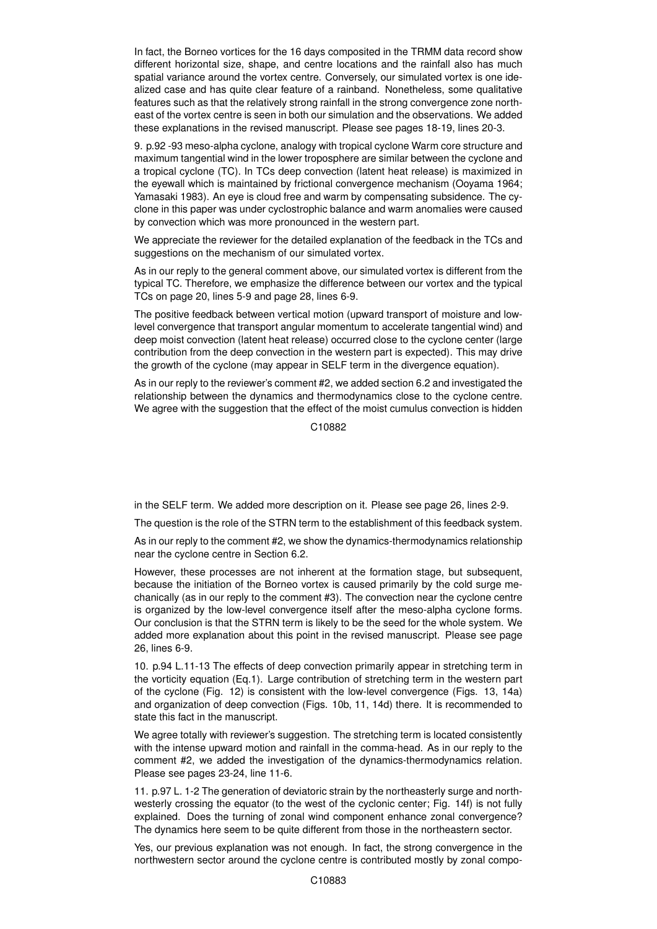In fact, the Borneo vortices for the 16 days composited in the TRMM data record show different horizontal size, shape, and centre locations and the rainfall also has much spatial variance around the vortex centre. Conversely, our simulated vortex is one idealized case and has quite clear feature of a rainband. Nonetheless, some qualitative features such as that the relatively strong rainfall in the strong convergence zone northeast of the vortex centre is seen in both our simulation and the observations. We added these explanations in the revised manuscript. Please see pages 18-19, lines 20-3.

9. p.92 -93 meso-alpha cyclone, analogy with tropical cyclone Warm core structure and maximum tangential wind in the lower troposphere are similar between the cyclone and a tropical cyclone (TC). In TCs deep convection (latent heat release) is maximized in the eyewall which is maintained by frictional convergence mechanism (Ooyama 1964; Yamasaki 1983). An eye is cloud free and warm by compensating subsidence. The cyclone in this paper was under cyclostrophic balance and warm anomalies were caused by convection which was more pronounced in the western part.

We appreciate the reviewer for the detailed explanation of the feedback in the TCs and suggestions on the mechanism of our simulated vortex.

As in our reply to the general comment above, our simulated vortex is different from the typical TC. Therefore, we emphasize the difference between our vortex and the typical TCs on page 20, lines 5-9 and page 28, lines 6-9.

The positive feedback between vertical motion (upward transport of moisture and lowlevel convergence that transport angular momentum to accelerate tangential wind) and deep moist convection (latent heat release) occurred close to the cyclone center (large contribution from the deep convection in the western part is expected). This may drive the growth of the cyclone (may appear in SELF term in the divergence equation).

As in our reply to the reviewer's comment #2, we added section 6.2 and investigated the relationship between the dynamics and thermodynamics close to the cyclone centre. We agree with the suggestion that the effect of the moist cumulus convection is hidden

C10882

in the SELF term. We added more description on it. Please see page 26, lines 2-9.

The question is the role of the STRN term to the establishment of this feedback system.

As in our reply to the comment #2, we show the dynamics-thermodynamics relationship near the cyclone centre in Section 6.2.

However, these processes are not inherent at the formation stage, but subsequent, because the initiation of the Borneo vortex is caused primarily by the cold surge mechanically (as in our reply to the comment #3). The convection near the cyclone centre is organized by the low-level convergence itself after the meso-alpha cyclone forms. Our conclusion is that the STRN term is likely to be the seed for the whole system. We added more explanation about this point in the revised manuscript. Please see page 26, lines 6-9.

10. p.94 L.11-13 The effects of deep convection primarily appear in stretching term in the vorticity equation (Eq.1). Large contribution of stretching term in the western part of the cyclone (Fig. 12) is consistent with the low-level convergence (Figs. 13, 14a) and organization of deep convection (Figs. 10b, 11, 14d) there. It is recommended to state this fact in the manuscript.

We agree totally with reviewer's suggestion. The stretching term is located consistently with the intense upward motion and rainfall in the comma-head. As in our reply to the comment #2, we added the investigation of the dynamics-thermodynamics relation. Please see pages 23-24, line 11-6.

11. p.97 L. 1-2 The generation of deviatoric strain by the northeasterly surge and northwesterly crossing the equator (to the west of the cyclonic center; Fig. 14f) is not fully explained. Does the turning of zonal wind component enhance zonal convergence? The dynamics here seem to be quite different from those in the northeastern sector.

Yes, our previous explanation was not enough. In fact, the strong convergence in the northwestern sector around the cyclone centre is contributed mostly by zonal compo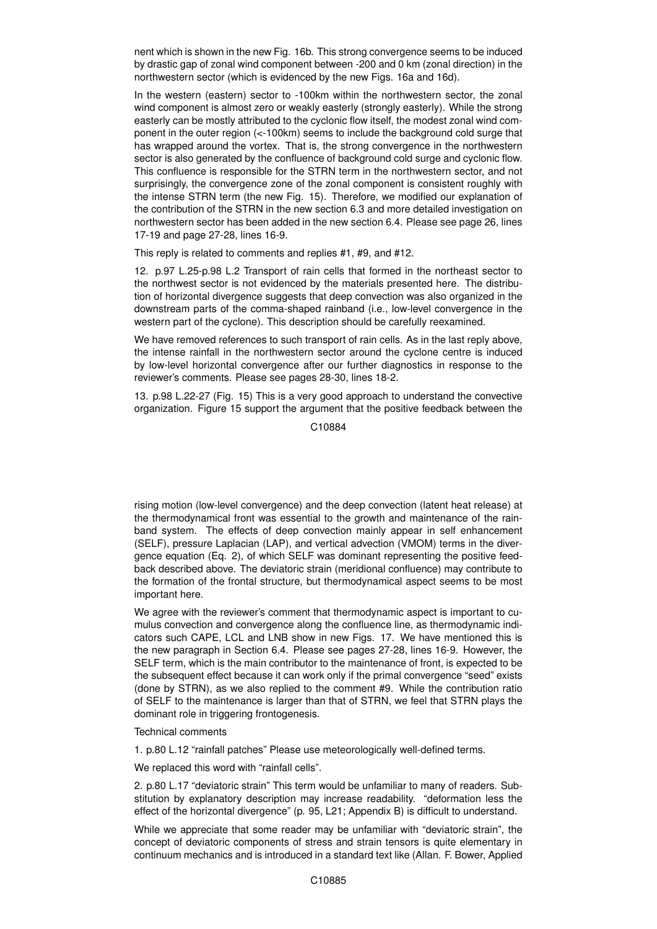nent which is shown in the new Fig. 16b. This strong convergence seems to be induced by drastic gap of zonal wind component between -200 and 0 km (zonal direction) in the northwestern sector (which is evidenced by the new Figs. 16a and 16d).

In the western (eastern) sector to -100km within the northwestern sector, the zonal wind component is almost zero or weakly easterly (strongly easterly). While the strong easterly can be mostly attributed to the cyclonic flow itself, the modest zonal wind component in the outer region (<-100km) seems to include the background cold surge that has wrapped around the vortex. That is, the strong convergence in the northwestern sector is also generated by the confluence of background cold surge and cyclonic flow. This confluence is responsible for the STRN term in the northwestern sector, and not surprisingly, the convergence zone of the zonal component is consistent roughly with the intense STRN term (the new Fig. 15). Therefore, we modified our explanation of the contribution of the STRN in the new section 6.3 and more detailed investigation on northwestern sector has been added in the new section 6.4. Please see page 26, lines 17-19 and page 27-28, lines 16-9.

This reply is related to comments and replies #1, #9, and #12.

12. p.97 L.25-p.98 L.2 Transport of rain cells that formed in the northeast sector to the northwest sector is not evidenced by the materials presented here. The distribution of horizontal divergence suggests that deep convection was also organized in the downstream parts of the comma-shaped rainband (i.e., low-level convergence in the western part of the cyclone). This description should be carefully reexamined.

We have removed references to such transport of rain cells. As in the last reply above, the intense rainfall in the northwestern sector around the cyclone centre is induced by low-level horizontal convergence after our further diagnostics in response to the reviewer's comments. Please see pages 28-30, lines 18-2.

13. p.98 L.22-27 (Fig. 15) This is a very good approach to understand the convective organization. Figure 15 support the argument that the positive feedback between the

C10884

rising motion (low-level convergence) and the deep convection (latent heat release) at the thermodynamical front was essential to the growth and maintenance of the rainband system. The effects of deep convection mainly appear in self enhancement (SELF), pressure Laplacian (LAP), and vertical advection (VMOM) terms in the divergence equation (Eq. 2), of which SELF was dominant representing the positive feedback described above. The deviatoric strain (meridional confluence) may contribute to the formation of the frontal structure, but thermodynamical aspect seems to be most important here.

We agree with the reviewer's comment that thermodynamic aspect is important to cumulus convection and convergence along the confluence line, as thermodynamic indicators such CAPE, LCL and LNB show in new Figs. 17. We have mentioned this is the new paragraph in Section 6.4. Please see pages 27-28, lines 16-9. However, the SELF term, which is the main contributor to the maintenance of front, is expected to be the subsequent effect because it can work only if the primal convergence "seed" exists (done by STRN), as we also replied to the comment #9. While the contribution ratio of SELF to the maintenance is larger than that of STRN, we feel that STRN plays the dominant role in triggering frontogenesis.

Technical comments

1. p.80 L.12 "rainfall patches" Please use meteorologically well-defined terms.

We replaced this word with "rainfall cells".

2. p.80 L.17 "deviatoric strain" This term would be unfamiliar to many of readers. Substitution by explanatory description may increase readability. "deformation less the effect of the horizontal divergence" (p. 95, L21; Appendix B) is difficult to understand.

While we appreciate that some reader may be unfamiliar with "deviatoric strain", the concept of deviatoric components of stress and strain tensors is quite elementary in continuum mechanics and is introduced in a standard text like (Allan. F. Bower, Applied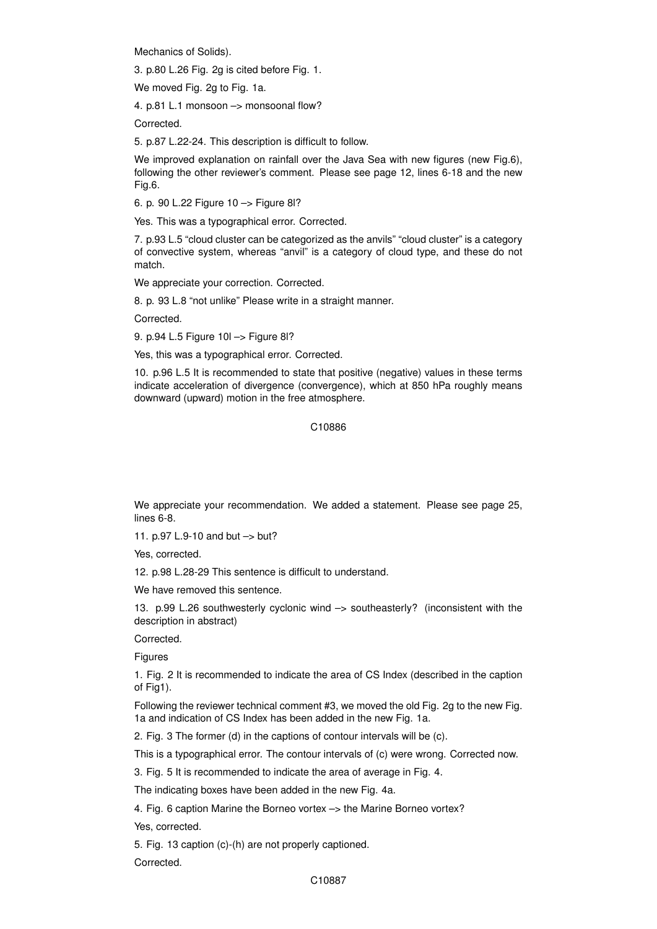Mechanics of Solids).

3. p.80 L.26 Fig. 2g is cited before Fig. 1.

We moved Fig. 2g to Fig. 1a.

4. p.81 L.1 monsoon –> monsoonal flow?

Corrected.

5. p.87 L.22-24. This description is difficult to follow.

We improved explanation on rainfall over the Java Sea with new figures (new Fig.6), following the other reviewer's comment. Please see page 12, lines 6-18 and the new Fig.6.

6. p. 90 L.22 Figure 10 –> Figure 8l?

Yes. This was a typographical error. Corrected.

7. p.93 L.5 "cloud cluster can be categorized as the anvils" "cloud cluster" is a category of convective system, whereas "anvil" is a category of cloud type, and these do not match.

We appreciate your correction. Corrected.

8. p. 93 L.8 "not unlike" Please write in a straight manner.

Corrected.

9. p.94 L.5 Figure 10l –> Figure 8l?

Yes, this was a typographical error. Corrected.

10. p.96 L.5 It is recommended to state that positive (negative) values in these terms indicate acceleration of divergence (convergence), which at 850 hPa roughly means downward (upward) motion in the free atmosphere.

C10886

We appreciate your recommendation. We added a statement. Please see page 25, lines 6-8.

11. p.97 L.9-10 and but –> but?

Yes, corrected.

12. p.98 L.28-29 This sentence is difficult to understand.

We have removed this sentence.

13. p.99 L.26 southwesterly cyclonic wind –> southeasterly? (inconsistent with the description in abstract)

Corrected.

**Figures** 

1. Fig. 2 It is recommended to indicate the area of CS Index (described in the caption of Fig1).

Following the reviewer technical comment #3, we moved the old Fig. 2g to the new Fig. 1a and indication of CS Index has been added in the new Fig. 1a.

2. Fig. 3 The former (d) in the captions of contour intervals will be (c).

This is a typographical error. The contour intervals of (c) were wrong. Corrected now.

3. Fig. 5 It is recommended to indicate the area of average in Fig. 4.

The indicating boxes have been added in the new Fig. 4a.

4. Fig. 6 caption Marine the Borneo vortex –> the Marine Borneo vortex?

Yes, corrected.

5. Fig. 13 caption (c)-(h) are not properly captioned.

Corrected.